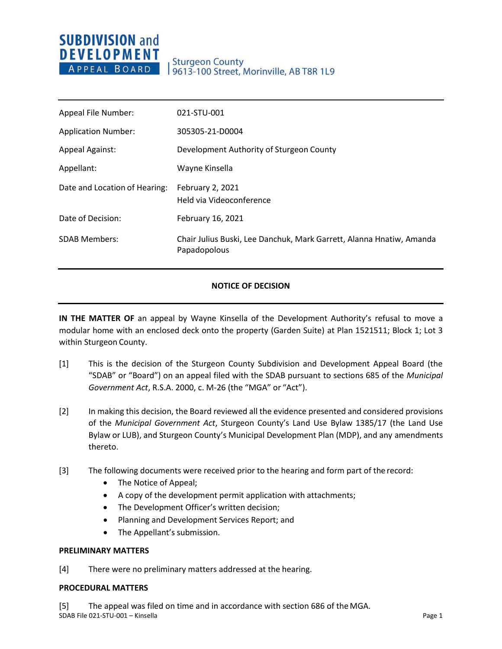## **SUBDIVISION and DEVELOPMENT** APPEAL BOARD

## **Sturgeon County** 9613-100 Street, Morinville, AB T8R 1L9

| Appeal File Number:           | 021-STU-001                                                                          |
|-------------------------------|--------------------------------------------------------------------------------------|
| <b>Application Number:</b>    | 305305-21-D0004                                                                      |
| <b>Appeal Against:</b>        | Development Authority of Sturgeon County                                             |
| Appellant:                    | Wayne Kinsella                                                                       |
| Date and Location of Hearing: | February 2, 2021<br>Held via Videoconference                                         |
| Date of Decision:             | February 16, 2021                                                                    |
| <b>SDAB Members:</b>          | Chair Julius Buski, Lee Danchuk, Mark Garrett, Alanna Hnatiw, Amanda<br>Papadopolous |

## **NOTICE OF DECISION**

**IN THE MATTER OF** an appeal by Wayne Kinsella of the Development Authority's refusal to move a modular home with an enclosed deck onto the property (Garden Suite) at Plan 1521511; Block 1; Lot 3 within Sturgeon County.

- [1] This is the decision of the Sturgeon County Subdivision and Development Appeal Board (the "SDAB" or "Board") on an appeal filed with the SDAB pursuant to sections 685 of the *Municipal Government Act*, R.S.A. 2000, c. M-26 (the "MGA" or "Act").
- [2] In making this decision, the Board reviewed all the evidence presented and considered provisions of the *Municipal Government Act*, Sturgeon County's Land Use Bylaw 1385/17 (the Land Use Bylaw or LUB), and Sturgeon County's Municipal Development Plan (MDP), and any amendments thereto.
- [3] The following documents were received prior to the hearing and form part of the record:
	- The Notice of Appeal;
	- A copy of the development permit application with attachments;
	- The Development Officer's written decision;
	- Planning and Development Services Report; and
	- The Appellant's submission.

#### **PRELIMINARY MATTERS**

[4] There were no preliminary matters addressed at the hearing.

### **PROCEDURAL MATTERS**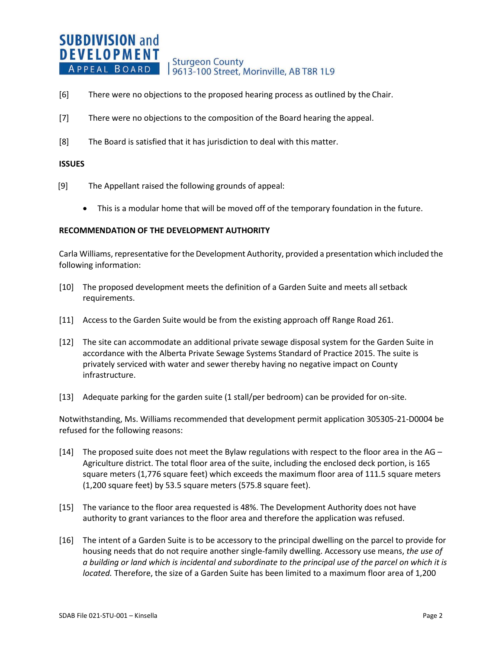#### **SUBDIVISION and DEVELOPMENT Sturgeon County** APPEAL BOARD 9613-100 Street, Morinville, AB T8R 1L9

- [6] There were no objections to the proposed hearing process as outlined by the Chair.
- [7] There were no objections to the composition of the Board hearing the appeal.
- [8] The Board is satisfied that it has jurisdiction to deal with this matter.

#### **ISSUES**

- [9] The Appellant raised the following grounds of appeal:
	- This is a modular home that will be moved off of the temporary foundation in the future.

#### **RECOMMENDATION OF THE DEVELOPMENT AUTHORITY**

Carla Williams, representative forthe Development Authority, provided a presentation which included the following information:

- [10] The proposed development meets the definition of a Garden Suite and meets all setback requirements.
- [11] Access to the Garden Suite would be from the existing approach off Range Road 261.
- [12] The site can accommodate an additional private sewage disposal system for the Garden Suite in accordance with the Alberta Private Sewage Systems Standard of Practice 2015. The suite is privately serviced with water and sewer thereby having no negative impact on County infrastructure.
- [13] Adequate parking for the garden suite (1 stall/per bedroom) can be provided for on-site.

Notwithstanding, Ms. Williams recommended that development permit application 305305-21-D0004 be refused for the following reasons:

- [14] The proposed suite does not meet the Bylaw regulations with respect to the floor area in the  $AG -$ Agriculture district. The total floor area of the suite, including the enclosed deck portion, is 165 square meters (1,776 square feet) which exceeds the maximum floor area of 111.5 square meters (1,200 square feet) by 53.5 square meters (575.8 square feet).
- [15] The variance to the floor area requested is 48%. The Development Authority does not have authority to grant variances to the floor area and therefore the application was refused.
- [16] The intent of a Garden Suite is to be accessory to the principal dwelling on the parcel to provide for housing needs that do not require another single-family dwelling. Accessory use means, *the use of a building or land which is incidental and subordinate to the principal use of the parcel on which it is located.* Therefore, the size of a Garden Suite has been limited to a maximum floor area of 1,200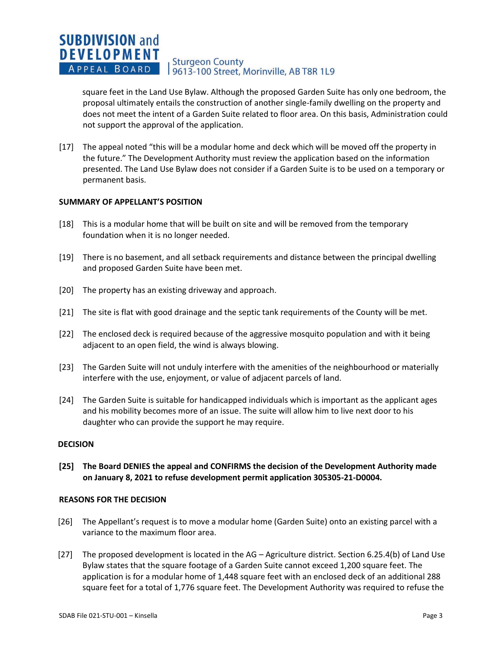#### **SUBDIVISION and DEVELOPMENT Sturgeon County** APPEAL BOARD 19613-100 Street, Morinville, AB T8R 1L9

square feet in the Land Use Bylaw. Although the proposed Garden Suite has only one bedroom, the proposal ultimately entails the construction of another single-family dwelling on the property and does not meet the intent of a Garden Suite related to floor area. On this basis, Administration could not support the approval of the application.

[17] The appeal noted "this will be a modular home and deck which will be moved off the property in the future." The Development Authority must review the application based on the information presented. The Land Use Bylaw does not consider if a Garden Suite is to be used on a temporary or permanent basis.

### **SUMMARY OF APPELLANT'S POSITION**

- [18] This is a modular home that will be built on site and will be removed from the temporary foundation when it is no longer needed.
- [19] There is no basement, and all setback requirements and distance between the principal dwelling and proposed Garden Suite have been met.
- [20] The property has an existing driveway and approach.
- [21] The site is flat with good drainage and the septic tank requirements of the County will be met.
- [22] The enclosed deck is required because of the aggressive mosquito population and with it being adjacent to an open field, the wind is always blowing.
- [23] The Garden Suite will not unduly interfere with the amenities of the neighbourhood or materially interfere with the use, enjoyment, or value of adjacent parcels of land.
- [24] The Garden Suite is suitable for handicapped individuals which is important as the applicant ages and his mobility becomes more of an issue. The suite will allow him to live next door to his daughter who can provide the support he may require.

#### **DECISION**

**[25] The Board DENIES the appeal and CONFIRMS the decision of the Development Authority made on January 8, 2021 to refuse development permit application 305305-21-D0004.**

#### **REASONS FOR THE DECISION**

- [26] The Appellant's request is to move a modular home (Garden Suite) onto an existing parcel with a variance to the maximum floor area.
- [27] The proposed development is located in the AG Agriculture district. Section 6.25.4(b) of Land Use Bylaw states that the square footage of a Garden Suite cannot exceed 1,200 square feet. The application is for a modular home of 1,448 square feet with an enclosed deck of an additional 288 square feet for a total of 1,776 square feet. The Development Authority was required to refuse the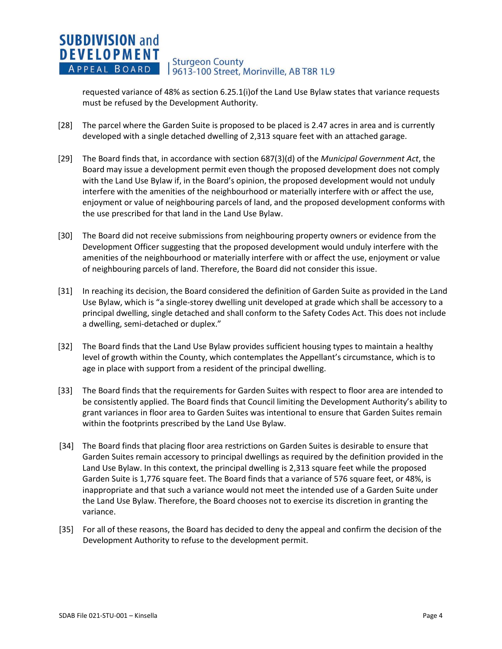#### **SUBDIVISION and DEVELOPMENT Sturgeon County** APPEAL BOARD 19613-100 Street, Morinville, AB T8R 1L9

requested variance of 48% as section 6.25.1(i)of the Land Use Bylaw states that variance requests must be refused by the Development Authority.

- [28] The parcel where the Garden Suite is proposed to be placed is 2.47 acres in area and is currently developed with a single detached dwelling of 2,313 square feet with an attached garage.
- [29] The Board finds that, in accordance with section 687(3)(d) of the *Municipal Government Act*, the Board may issue a development permit even though the proposed development does not comply with the Land Use Bylaw if, in the Board's opinion, the proposed development would not unduly interfere with the amenities of the neighbourhood or materially interfere with or affect the use, enjoyment or value of neighbouring parcels of land, and the proposed development conforms with the use prescribed for that land in the Land Use Bylaw.
- [30] The Board did not receive submissions from neighbouring property owners or evidence from the Development Officer suggesting that the proposed development would unduly interfere with the amenities of the neighbourhood or materially interfere with or affect the use, enjoyment or value of neighbouring parcels of land. Therefore, the Board did not consider this issue.
- [31] In reaching its decision, the Board considered the definition of Garden Suite as provided in the Land Use Bylaw, which is "a single-storey dwelling unit developed at grade which shall be accessory to a principal dwelling, single detached and shall conform to the Safety Codes Act. This does not include a dwelling, semi-detached or duplex."
- [32] The Board finds that the Land Use Bylaw provides sufficient housing types to maintain a healthy level of growth within the County, which contemplates the Appellant's circumstance, which is to age in place with support from a resident of the principal dwelling.
- [33] The Board finds that the requirements for Garden Suites with respect to floor area are intended to be consistently applied. The Board finds that Council limiting the Development Authority's ability to grant variances in floor area to Garden Suites was intentional to ensure that Garden Suites remain within the footprints prescribed by the Land Use Bylaw.
- [34] The Board finds that placing floor area restrictions on Garden Suites is desirable to ensure that Garden Suites remain accessory to principal dwellings as required by the definition provided in the Land Use Bylaw. In this context, the principal dwelling is 2,313 square feet while the proposed Garden Suite is 1,776 square feet. The Board finds that a variance of 576 square feet, or 48%, is inappropriate and that such a variance would not meet the intended use of a Garden Suite under the Land Use Bylaw. Therefore, the Board chooses not to exercise its discretion in granting the variance.
- [35] For all of these reasons, the Board has decided to deny the appeal and confirm the decision of the Development Authority to refuse to the development permit.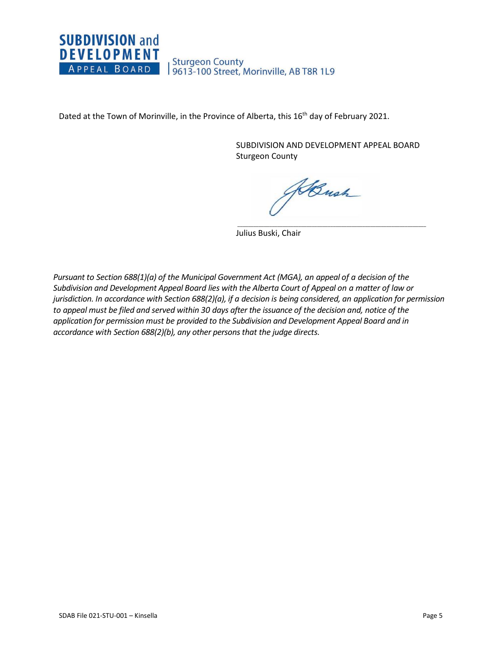

Dated at the Town of Morinville, in the Province of Alberta, this 16<sup>th</sup> day of February 2021.

SUBDIVISION AND DEVELOPMENT APPEAL BOARD Sturgeon County

 $\overline{\phantom{a}}$  ,  $\overline{\phantom{a}}$  ,  $\overline{\phantom{a}}$  ,  $\overline{\phantom{a}}$  ,  $\overline{\phantom{a}}$  ,  $\overline{\phantom{a}}$  ,  $\overline{\phantom{a}}$  ,  $\overline{\phantom{a}}$  ,  $\overline{\phantom{a}}$  ,  $\overline{\phantom{a}}$  ,  $\overline{\phantom{a}}$  ,  $\overline{\phantom{a}}$  ,  $\overline{\phantom{a}}$  ,  $\overline{\phantom{a}}$  ,  $\overline{\phantom{a}}$  ,  $\overline{\phantom{a}}$ 

Hansh

Julius Buski, Chair

*Pursuant to Section 688(1)(a) of the Municipal Government Act (MGA), an appeal of a decision of the Subdivision and Development Appeal Board lies with the Alberta Court of Appeal on a matter of law or jurisdiction. In accordance with Section 688(2)(a), if a decision is being considered, an application for permission to appeal must be filed and served within 30 days after the issuance of the decision and, notice of the application for permission must be provided to the Subdivision and Development Appeal Board and in accordance with Section 688(2)(b), any other persons that the judge directs.*